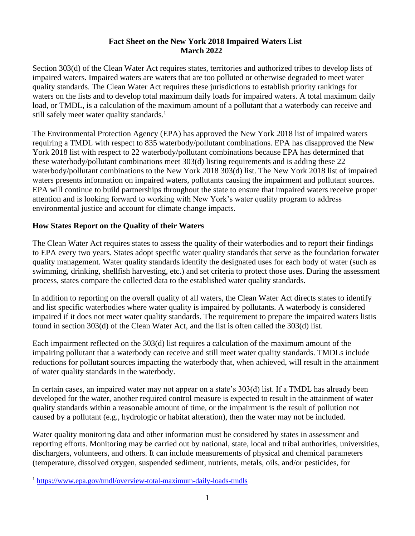### **Fact Sheet on the New York 2018 Impaired Waters List March 2022**

Section 303(d) of the Clean Water Act requires states, territories and authorized tribes to develop lists of impaired waters. Impaired waters are waters that are too polluted or otherwise degraded to meet water quality standards. The Clean Water Act requires these jurisdictions to establish priority rankings for waters on the lists and to develop total maximum daily loads for impaired waters. A total maximum daily load, or TMDL, is a calculation of the maximum amount of a pollutant that a waterbody can receive and still safely meet water quality standards.<sup>1</sup>

The Environmental Protection Agency (EPA) has approved the New York 2018 list of impaired waters requiring a TMDL with respect to 835 waterbody/pollutant combinations. EPA has disapproved the New York 2018 list with respect to 22 waterbody/pollutant combinations because EPA has determined that these waterbody/pollutant combinations meet 303(d) listing requirements and is adding these 22 waterbody/pollutant combinations to the New York 2018 303(d) list. The New York 2018 list of impaired waters presents information on impaired waters, pollutants causing the impairment and pollutant sources. EPA will continue to build partnerships throughout the state to ensure that impaired waters receive proper attention and is looking forward to working with New York's water quality program to address environmental justice and account for climate change impacts.

## **How States Report on the Quality of their Waters**

The Clean Water Act requires states to assess the quality of their waterbodies and to report their findings to EPA every two years. States adopt specific water quality standards that serve as the foundation forwater quality management. Water quality standards identify the designated uses for each body of water (such as swimming, drinking, shellfish harvesting, etc.) and set criteria to protect those uses. During the assessment process, states compare the collected data to the established water quality standards.

In addition to reporting on the overall quality of all waters, the Clean Water Act directs states to identify and list specific waterbodies where water quality is impaired by pollutants. A waterbody is considered impaired if it does not meet water quality standards. The requirement to prepare the impaired waters listis found in section 303(d) of the Clean Water Act, and the list is often called the 303(d) list.

Each impairment reflected on the 303(d) list requires a calculation of the maximum amount of the impairing pollutant that a waterbody can receive and still meet water quality standards. TMDLs include reductions for pollutant sources impacting the waterbody that, when achieved, will result in the attainment of water quality standards in the waterbody.

In certain cases, an impaired water may not appear on a state's 303(d) list. If a TMDL has already been developed for the water, another required control measure is expected to result in the attainment of water quality standards within a reasonable amount of time, or the impairment is the result of pollution not caused by a pollutant (e.g., hydrologic or habitat alteration), then the water may not be included.

Water quality monitoring data and other information must be considered by states in assessment and reporting efforts. Monitoring may be carried out by national, state, local and tribal authorities, universities, dischargers, volunteers, and others. It can include measurements of physical and chemical parameters (temperature, dissolved oxygen, suspended sediment, nutrients, metals, oils, and/or pesticides, for

<sup>1</sup> <https://www.epa.gov/tmdl/overview-total-maximum-daily-loads-tmdls>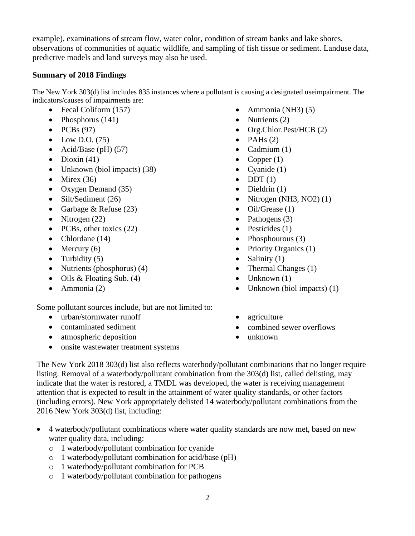example), examinations of stream flow, water color, condition of stream banks and lake shores, observations of communities of aquatic wildlife, and sampling of fish tissue or sediment. Landuse data, predictive models and land surveys may also be used.

## **Summary of 2018 Findings**

The New York 303(d) list includes 835 instances where a pollutant is causing a designated useimpairment. The indicators/causes of impairments are:

- Fecal Coliform (157)
- Phosphorus  $(141)$
- $\bullet$  PCBs (97)
- $\bullet$  Low D.O. (75)
- Acid/Base (pH)  $(57)$
- Dioxin  $(41)$
- Unknown (biol impacts) (38)
- Mirex  $(36)$
- Oxygen Demand (35)
- Silt/Sediment (26)
- Garbage & Refuse (23)
- Nitrogen  $(22)$
- PCBs, other toxics (22)
- Chlordane (14)
- Mercury  $(6)$
- Turbidity  $(5)$
- Nutrients (phosphorus) (4)
- Oils & Floating Sub. (4)
- Ammonia (2)

Some pollutant sources include, but are not limited to:

- urban/stormwater runoff
- contaminated sediment
- atmospheric deposition
- onsite wastewater treatment systems
- Ammonia (NH3)  $(5)$
- Nutrients  $(2)$
- Org.Chlor.Pest/HCB (2)
- PAHs  $(2)$
- Cadmium  $(1)$
- Copper  $(1)$
- Cyanide  $(1)$
- $\bullet$  DDT(1)
- Dieldrin  $(1)$
- Nitrogen (NH3, NO2)  $(1)$
- $\bullet$  Oil/Grease (1)
- Pathogens (3)
- Pesticides  $(1)$
- Phosphourous (3)
- Priority Organics (1)
- Salinity  $(1)$
- Thermal Changes (1)
- $\bullet$  Unknown (1)
- Unknown (biol impacts) (1)
- agriculture
- combined sewer overflows
- unknown

The New York 2018 303(d) list also reflects waterbody/pollutant combinations that no longer require listing. Removal of a waterbody/pollutant combination from the 303(d) list, called delisting, may indicate that the water is restored, a TMDL was developed, the water is receiving management attention that is expected to result in the attainment of water quality standards, or other factors (including errors). New York appropriately delisted 14 waterbody/pollutant combinations from the 2016 New York 303(d) list, including:

- 4 waterbody/pollutant combinations where water quality standards are now met, based on new water quality data, including:
	- o 1 waterbody/pollutant combination for cyanide
	- o 1 waterbody/pollutant combination for acid/base (pH)
	- o 1 waterbody/pollutant combination for PCB
	- o 1 waterbody/pollutant combination for pathogens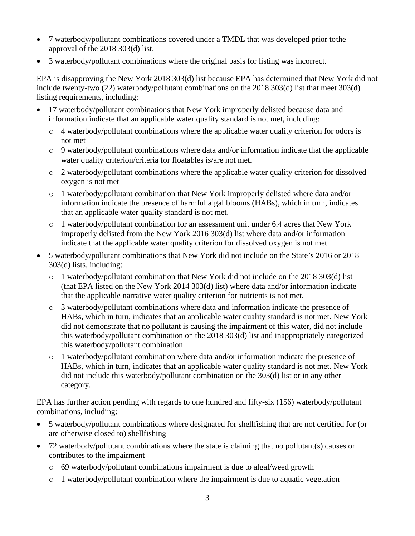- 7 waterbody/pollutant combinations covered under a TMDL that was developed prior to the approval of the 2018 303(d) list.
- 3 waterbody/pollutant combinations where the original basis for listing was incorrect.

EPA is disapproving the New York 2018 303(d) list because EPA has determined that New York did not include twenty-two (22) waterbody/pollutant combinations on the 2018 303(d) list that meet 303(d) listing requirements, including:

- 17 waterbody/pollutant combinations that New York improperly delisted because data and information indicate that an applicable water quality standard is not met, including:
	- o 4 waterbody/pollutant combinations where the applicable water quality criterion for odors is not met
	- o 9 waterbody/pollutant combinations where data and/or information indicate that the applicable water quality criterion/criteria for floatables is/are not met.
	- o 2 waterbody/pollutant combinations where the applicable water quality criterion for dissolved oxygen is not met
	- o 1 waterbody/pollutant combination that New York improperly delisted where data and/or information indicate the presence of harmful algal blooms (HABs), which in turn, indicates that an applicable water quality standard is not met.
	- o 1 waterbody/pollutant combination for an assessment unit under 6.4 acres that New York improperly delisted from the New York 2016 303(d) list where data and/or information indicate that the applicable water quality criterion for dissolved oxygen is not met.
- 5 waterbody/pollutant combinations that New York did not include on the State's 2016 or 2018 303(d) lists, including:
	- $\circ$  1 waterbody/pollutant combination that New York did not include on the 2018 303(d) list (that EPA listed on the New York 2014 303(d) list) where data and/or information indicate that the applicable narrative water quality criterion for nutrients is not met.
	- o 3 waterbody/pollutant combinations where data and information indicate the presence of HABs, which in turn, indicates that an applicable water quality standard is not met. New York did not demonstrate that no pollutant is causing the impairment of this water, did not include this waterbody/pollutant combination on the 2018 303(d) list and inappropriately categorized this waterbody/pollutant combination.
	- o 1 waterbody/pollutant combination where data and/or information indicate the presence of HABs, which in turn, indicates that an applicable water quality standard is not met. New York did not include this waterbody/pollutant combination on the 303(d) list or in any other category.

EPA has further action pending with regards to one hundred and fifty-six (156) waterbody/pollutant combinations, including:

- 5 waterbody/pollutant combinations where designated for shellfishing that are not certified for (or are otherwise closed to) shellfishing
- 72 waterbody/pollutant combinations where the state is claiming that no pollutant(s) causes or contributes to the impairment
	- o 69 waterbody/pollutant combinations impairment is due to algal/weed growth
	- o 1 waterbody/pollutant combination where the impairment is due to aquatic vegetation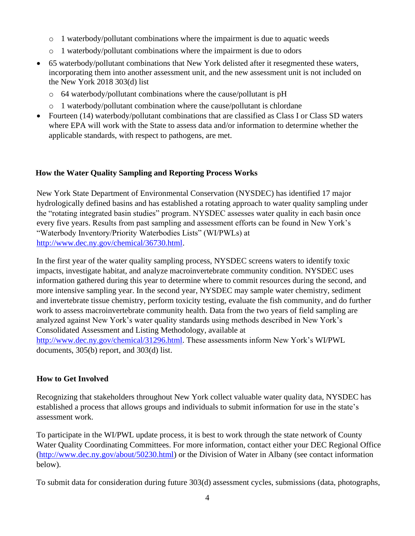- $\circ$  1 waterbody/pollutant combinations where the impairment is due to aquatic weeds
- o 1 waterbody/pollutant combinations where the impairment is due to odors
- 65 waterbody/pollutant combinations that New York delisted after it resegmented these waters, incorporating them into another assessment unit, and the new assessment unit is not included on the New York 2018 303(d) list
	- o 64 waterbody/pollutant combinations where the cause/pollutant is pH
	- $\circ$  1 waterbody/pollutant combination where the cause/pollutant is chlordane
- Fourteen (14) waterbody/pollutant combinations that are classified as Class I or Class SD waters where EPA will work with the State to assess data and/or information to determine whether the applicable standards, with respect to pathogens, are met.

#### **How the Water Quality Sampling and Reporting Process Works**

New York State Department of Environmental Conservation (NYSDEC) has identified 17 major hydrologically defined basins and has established a rotating approach to water quality sampling under the "rotating integrated basin studies" program. NYSDEC assesses water quality in each basin once every five years. Results from past sampling and assessment efforts can be found in New York's "Waterbody Inventory/Priority Waterbodies Lists" (WI/PWLs) at [http://www.dec.ny.gov/chemical/36730.html.](http://www.dec.ny.gov/chemical/36730.html)

In the first year of the water quality sampling process, NYSDEC screens waters to identify toxic impacts, investigate habitat, and analyze macroinvertebrate community condition. NYSDEC uses information gathered during this year to determine where to commit resources during the second, and more intensive sampling year. In the second year, NYSDEC may sample water chemistry, sediment and invertebrate tissue chemistry, perform toxicity testing, evaluate the fish community, and do further work to assess macroinvertebrate community health. Data from the two years of field sampling are analyzed against New York's water quality standards using methods described in New York's Consolidated Assessment and Listing Methodology, available at [http://www.dec.ny.gov/chemical/31296.html.](http://www.dec.ny.gov/chemical/31296.html) These assessments inform New York's WI/PWL documents, 305(b) report, and 303(d) list.

#### **How to Get Involved**

Recognizing that stakeholders throughout New York collect valuable water quality data, NYSDEC has established a process that allows groups and individuals to submit information for use in the state's assessment work.

To participate in the WI/PWL update process, it is best to work through the state network of County Water Quality Coordinating Committees. For more information, contact either your DEC Regional Office [\(http://www.dec.ny.gov/about/50230.html\)](http://www.dec.ny.gov/about/50230.html) or the Division of Water in Albany (see contact information below).

To submit data for consideration during future 303(d) assessment cycles, submissions (data, photographs,